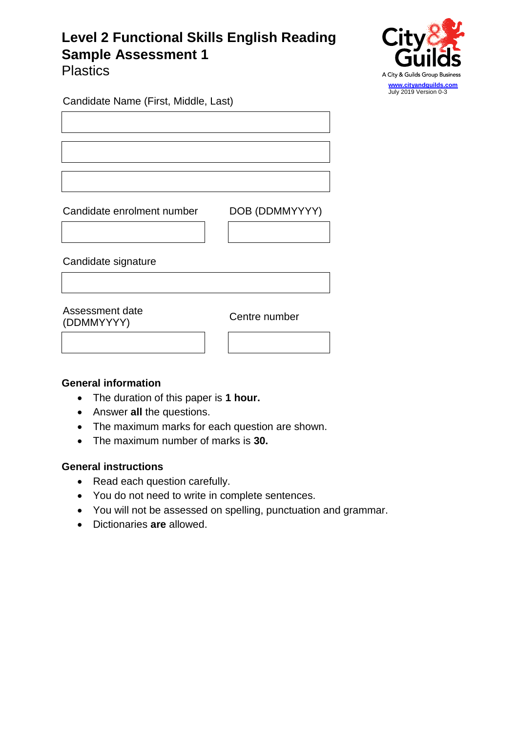# **Level 2 Functional Skills English Reading Sample Assessment 1 Plastics**



Candidate Name (First, Middle, Last)

Candidate enrolment number DOB (DDMMYYYY)

Candidate signature

Assessment date (DDMMYYYY) Centre number

## **General information**

- The duration of this paper is **1 hour.**
- Answer **all** the questions.
- The maximum marks for each question are shown.
- The maximum number of marks is **30.**

# **General instructions**

- Read each question carefully.
- You do not need to write in complete sentences.
- You will not be assessed on spelling, punctuation and grammar.
- Dictionaries **are** allowed.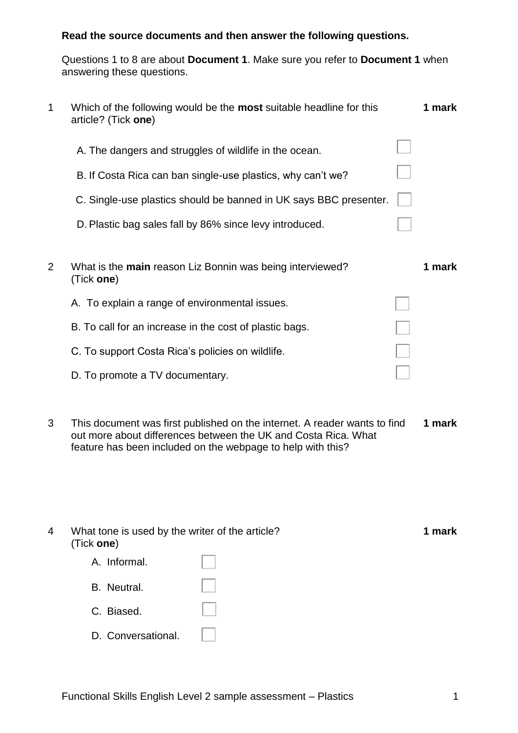#### **Read the source documents and then answer the following questions.**

Questions 1 to 8 are about **Document 1**. Make sure you refer to **Document 1** when answering these questions.

| 1 | Which of the following would be the <b>most</b> suitable headline for this<br>article? (Tick one) | 1 mark |
|---|---------------------------------------------------------------------------------------------------|--------|
|   | A. The dangers and struggles of wildlife in the ocean.                                            |        |
|   | B. If Costa Rica can ban single-use plastics, why can't we?                                       |        |
|   | C. Single-use plastics should be banned in UK says BBC presenter.                                 |        |
|   | D. Plastic bag sales fall by 86% since levy introduced.                                           |        |
|   |                                                                                                   |        |
| 2 | What is the <b>main</b> reason Liz Bonnin was being interviewed?<br>(Tick one)                    | 1 mark |
|   | A. To explain a range of environmental issues.                                                    |        |
|   | B. To call for an increase in the cost of plastic bags.                                           |        |
|   | C. To support Costa Rica's policies on wildlife.                                                  |        |

- D. To promote a TV documentary.
- 3 This document was first published on the internet. A reader wants to find out more about differences between the UK and Costa Rica. What feature has been included on the webpage to help with this? **1 mark**

| 4 | What tone is used by the writer of the article?<br>(Tick one) |  | 1 mark |  |
|---|---------------------------------------------------------------|--|--------|--|
|   | A. Informal.                                                  |  |        |  |
|   | B. Neutral.                                                   |  |        |  |
|   | C. Biased.                                                    |  |        |  |
|   | D. Conversational.                                            |  |        |  |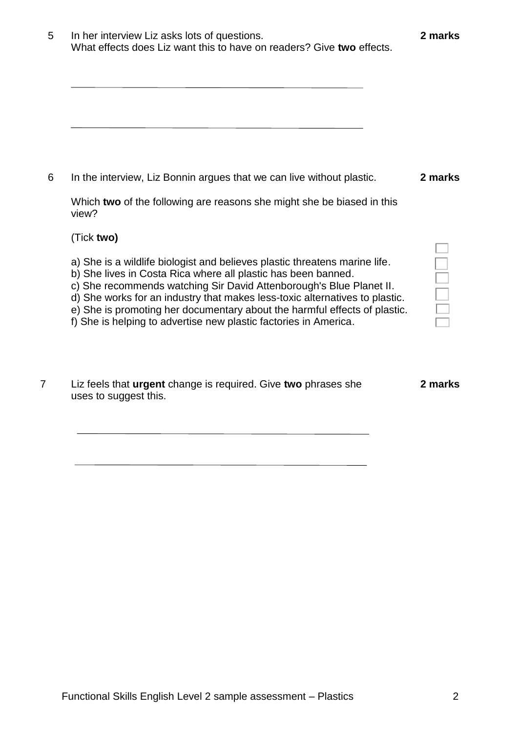| 5 | In her interview Liz asks lots of questions.                          |
|---|-----------------------------------------------------------------------|
|   | What effects does Liz want this to have on readers? Give two effects. |

Which **two** of the following are reasons she might she be biased in this view?

## (Tick **two)**

- a) She is a wildlife biologist and believes plastic threatens marine life.
- b) She lives in Costa Rica where all plastic has been banned.

6 In the interview, Liz Bonnin argues that we can live without plastic.

- c) She recommends watching Sir David Attenborough's Blue Planet II.
- d) She works for an industry that makes less-toxic alternatives to plastic.
- e) She is promoting her documentary about the harmful effects of plastic.
- f) She is helping to advertise new plastic factories in America.
- 7 Liz feels that **urgent** change is required. Give **two** phrases she uses to suggest this.

**2 marks**

**2 marks**

**2 marks** 

 $\Box$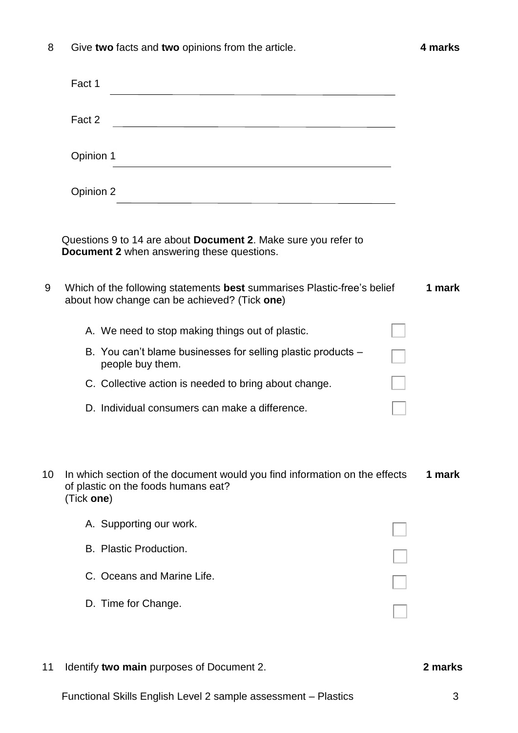| Functional Skills English Level 2 sample assessment - Plastics |  |
|----------------------------------------------------------------|--|

11 Identify **two main** purposes of Document 2. **2 marks**

| 8 |  | Give two facts and two opinions from the article. |
|---|--|---------------------------------------------------|
|---|--|---------------------------------------------------|

|    | Fact 1     |                                                                                                                                                                        |        |
|----|------------|------------------------------------------------------------------------------------------------------------------------------------------------------------------------|--------|
|    | Fact 2     | <u> 1989 - Johann Barbara, martxa alemaniar amerikan a</u>                                                                                                             |        |
|    | Opinion 1  |                                                                                                                                                                        |        |
|    | Opinion 2  | <u> 1980 - Jan Samuel Barbara, martin da shekara 1980 - An tsara 1980 - An tsara 1980 - An tsara 1980 - An tsara</u>                                                   |        |
|    |            | Questions 9 to 14 are about Document 2. Make sure you refer to<br><b>Document 2</b> when answering these questions.                                                    |        |
| 9  |            | Which of the following statements best summarises Plastic-free's belief<br>about how change can be achieved? (Tick one)                                                | 1 mark |
|    |            | A. We need to stop making things out of plastic.                                                                                                                       |        |
|    |            | B. You can't blame businesses for selling plastic products –<br>people buy them.                                                                                       |        |
|    |            | C. Collective action is needed to bring about change.                                                                                                                  |        |
|    |            | D. Individual consumers can make a difference.                                                                                                                         |        |
| 10 | (Tick one) | In which section of the document would you find information on the effects<br>of plastic on the foods humans eat?<br>A. Supporting our work.<br>B. Plastic Production. | 1 mark |
|    |            | C. Oceans and Marine Life.                                                                                                                                             |        |
|    |            | D. Time for Change.                                                                                                                                                    |        |

**4 marks**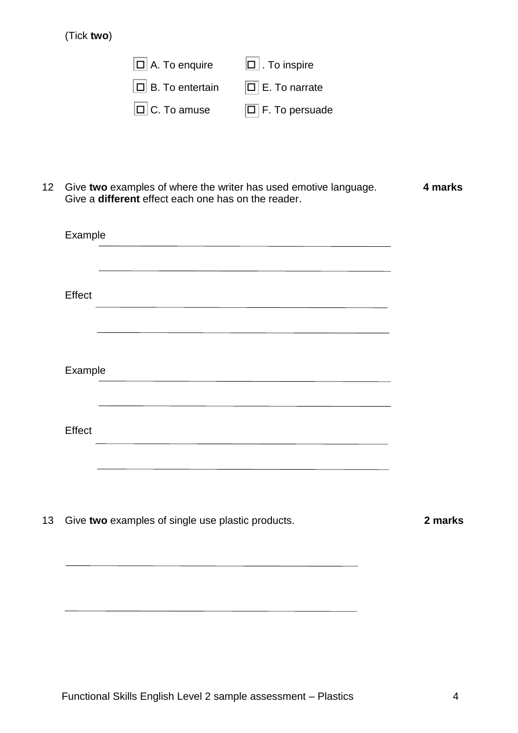# (Tick **two**)

| $ \Box $ A. To enquire   | $\boxed{\square}$ . To inspire   |
|--------------------------|----------------------------------|
| $ \Box $ B. To entertain | $ \square $ E. To narrate        |
| $\Box$ C. To amuse       | $\boxed{\square}$ F. To persuade |

12 Give **two** examples of where the writer has used emotive language. Give a **different** effect each one has on the reader. **4 marks**

| Example |  |  |
|---------|--|--|
|         |  |  |
| Effect  |  |  |
|         |  |  |
|         |  |  |
| Example |  |  |
|         |  |  |
| Effect  |  |  |
|         |  |  |
|         |  |  |

13 Give **two** examples of single use plastic products. **2 marks**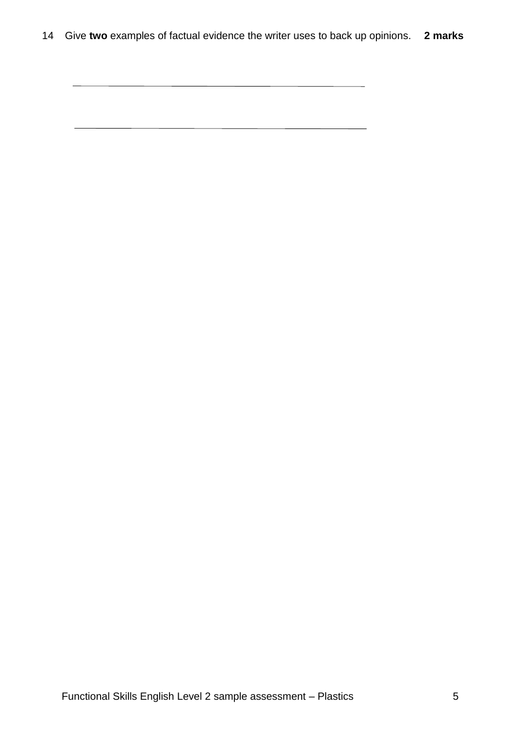<u> 1980 - Johann Barn, mars ann an t-Amhain Aonaich an t-Aonaich an t-Aonaich ann an t-Aonaich ann an t-Aonaich</u>

Functional Skills English Level 2 sample assessment – Plastics 5